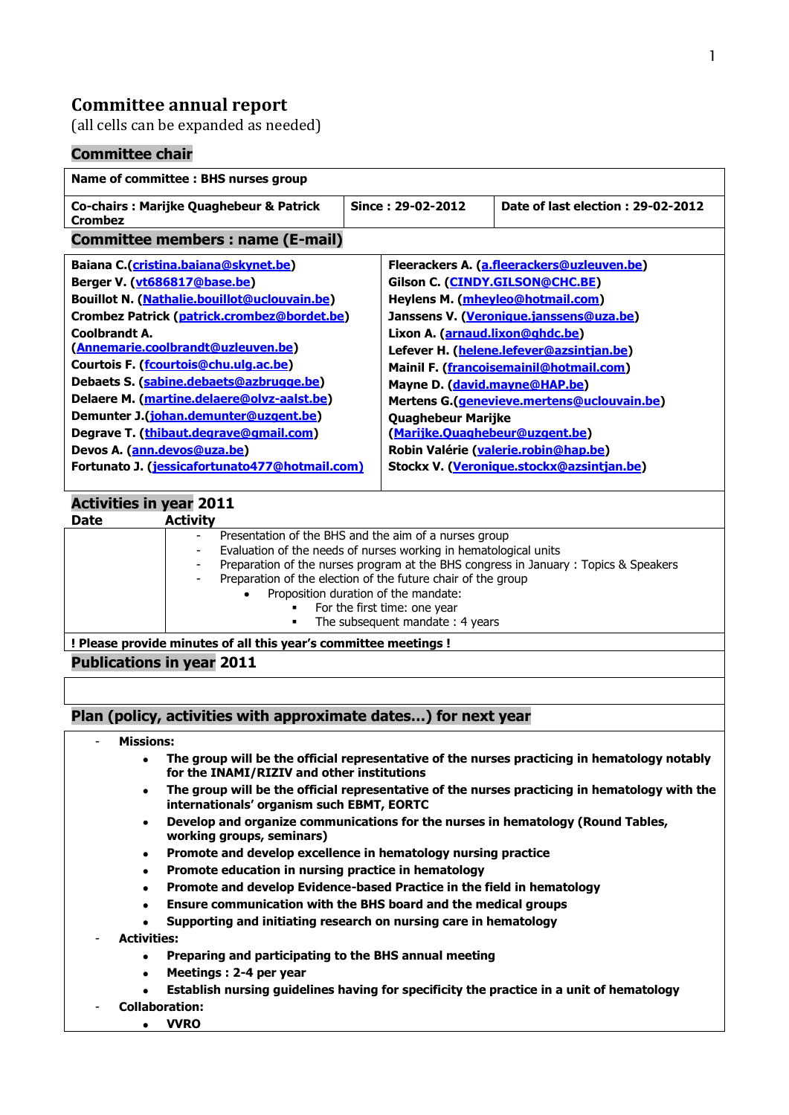# **Committee annual report**

(all cells can be expanded as needed)

# **Committee chair**

| Name of committee: BHS nurses group                           |                   |                                            |                                            |  |
|---------------------------------------------------------------|-------------------|--------------------------------------------|--------------------------------------------|--|
| <b>Co-chairs: Marijke Quaghebeur &amp; Patrick</b><br>Crombez | Since: 29-02-2012 |                                            | Date of last election: 29-02-2012          |  |
| <b>Committee members: name (E-mail)</b>                       |                   |                                            |                                            |  |
| Baiana C.(cristina.baiana@skynet.be)                          |                   |                                            | Fleerackers A. (a.fleerackers@uzleuven.be) |  |
| Berger V. (vt686817@base.be)                                  |                   |                                            | Gilson C. (CINDY.GILSON@CHC.BE)            |  |
| Bouillot N. (Nathalie.bouillot@uclouvain.be)                  |                   | Heylens M. (mheyleo@hotmail.com)           |                                            |  |
| Crombez Patrick (patrick.crombez@bordet.be)                   |                   |                                            | Janssens V. (Veronique.janssens@uza.be)    |  |
| Coolbrandt A.                                                 |                   | Lixon A. (arnaud.lixon@ghdc.be)            |                                            |  |
| (Annemarie.coolbrandt@uzleuven.be)                            |                   | Lefever H. (helene.lefever@azsintjan.be)   |                                            |  |
| Courtois F. (fcourtois@chu.ulg.ac.be)                         |                   | Mainil F. (francoisemainil@hotmail.com)    |                                            |  |
| Debaets S. (sabine.debaets@azbrugge.be)                       |                   | Mayne D. (david.mayne@HAP.be)              |                                            |  |
| Delaere M. (martine.delaere@olvz-aalst.be)                    |                   | Mertens G.(genevieve.mertens@uclouvain.be) |                                            |  |
| Demunter J. (johan.demunter@uzgent.be)                        |                   | Quaghebeur Marijke                         |                                            |  |
| Degrave T. (thibaut.degrave@gmail.com)                        |                   | (Marijke.Quaghebeur@uzgent.be)             |                                            |  |
| Devos A. (ann.devos@uza.be)                                   |                   | Robin Valérie (valerie.robin@hap.be)       |                                            |  |
| Fortunato J. (jessicafortunato477@hotmail.com)                |                   |                                            | Stockx V. (Veronique.stockx@azsintjan.be)  |  |
|                                                               |                   |                                            |                                            |  |
| <b>Activities in year 2011</b>                                |                   |                                            |                                            |  |
| <b>Activity</b><br><b>Date</b>                                |                   |                                            |                                            |  |

|                                                                  | Presentation of the BHS and the aim of a nurses group<br>$\overline{\phantom{a}}$                                |  |
|------------------------------------------------------------------|------------------------------------------------------------------------------------------------------------------|--|
|                                                                  | Evaluation of the needs of nurses working in hematological units<br>$\overline{\phantom{a}}$                     |  |
|                                                                  | Preparation of the nurses program at the BHS congress in January : Topics & Speakers<br>$\overline{\phantom{a}}$ |  |
|                                                                  | Preparation of the election of the future chair of the group<br>$\overline{\phantom{a}}$                         |  |
|                                                                  | Proposition duration of the mandate:                                                                             |  |
|                                                                  | For the first time: one year                                                                                     |  |
|                                                                  | The subsequent mandate: 4 years<br>٠                                                                             |  |
| ! Please provide minutes of all this year's committee meetings ! |                                                                                                                  |  |

### **Publications in year 2011**

**Plan (policy, activities with approximate dates…) for next year**

#### - **Missions:**

- **The group will be the official representative of the nurses practicing in hematology notably**   $\bullet$ **for the INAMI/RIZIV and other institutions**
- **The group will be the official representative of the nurses practicing in hematology with the**   $\bullet$ **internationals' organism such EBMT, EORTC**
- **Develop and organize communications for the nurses in hematology (Round Tables,**   $\bullet$ **working groups, seminars)**
- $\bullet$ **Promote and develop excellence in hematology nursing practice**
- **Promote education in nursing practice in hematology**  $\bullet$
- **Promote and develop Evidence-based Practice in the field in hematology**
- **Ensure communication with the BHS board and the medical groups**
- **Supporting and initiating research on nursing care in hematology**
- **Activities:**
	- **Preparing and participating to the BHS annual meeting**  $\bullet$
	- **Meetings : 2-4 per year**
	- **Establish nursing guidelines having for specificity the practice in a unit of hematology**

1

**VVRO**

- **Collaboration:**